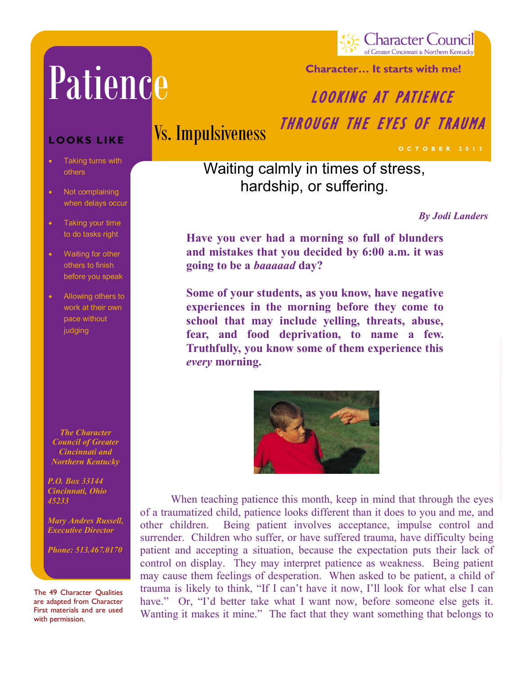# Patience Patience Patience

Council of Greater Cincinnati & Northern Kentucky

**Character… It starts with me!**

#### **Character… It starts with me!** LOOKING AT PATIENCE

# Vs. Impulsiveness

THROUGH THE EYES OF TRAUMA

### Waiting calmly in times of stress, hardship, or suffering.

*By Jodi Landers*

**O C T O B E R 2 0 1 3**

**Have you ever had a morning so full of blunders and mistakes that you decided by 6:00 a.m. it was going to be a** *baaaaad* **day?**

**Some of your students, as you know, have negative experiences in the morning before they come to school that may include yelling, threats, abuse, fear, and food deprivation, to name a few. Truthfully, you know some of them experience this**  *every* **morning.**



When teaching patience this month, keep in mind that through the eyes of a traumatized child, patience looks different than it does to you and me, and other children. Being patient involves acceptance, impulse control and surrender. Children who suffer, or have suffered trauma, have difficulty being patient and accepting a situation, because the expectation puts their lack of control on display. They may interpret patience as weakness. Being patient may cause them feelings of desperation. When asked to be patient, a child of trauma is likely to think, "If I can't have it now, I'll look for what else I can have." Or, "I'd better take what I want now, before someone else gets it. Wanting it makes it mine." The fact that they want something that belongs to

#### LOOKS LIKE

- others Taking turns with
- when delays occur Not complaining
- Taking your time to do tasks right
- Waiting for other others to finish before you speak
- Allowing others to work at their own pace without judging

*Schools The Character Council of Greater Cincinnati and Northern Kentucky* 

*P.O. Box 33144 P.O. Box 33144 Cincinnati, Ohio Cincinnati, Ohio 45233 45233*

*Mary Andres Russell, Mary Andres Russell, Executive Director Executive Director*

*Phone: 513.467.0170 Phone: 513.467.0170*

The 49 Character Qualities are adapted from Character First materials and are used with permission.